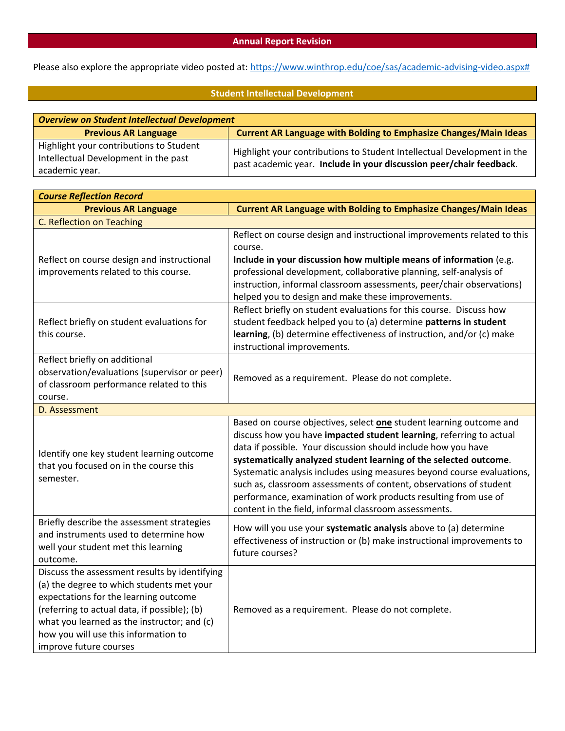## **Annual Report Revision**

Please also explore the appropriate video posted at: [https://www.winthrop.edu/coe/sas/academic-advising-video.aspx#](https://www.winthrop.edu/coe/sas/academic-advising-video.aspx)

# **Student Intellectual Development**

| <b>Overview on Student Intellectual Development</b> |                                                                                                                                                |  |
|-----------------------------------------------------|------------------------------------------------------------------------------------------------------------------------------------------------|--|
| <b>Previous AR Language</b>                         | <b>Current AR Language with Bolding to Emphasize Changes/Main Ideas</b>                                                                        |  |
| Highlight your contributions to Student             | Highlight your contributions to Student Intellectual Development in the<br>past academic year. Include in your discussion peer/chair feedback. |  |
| Intellectual Development in the past                |                                                                                                                                                |  |
| academic year.                                      |                                                                                                                                                |  |

| <b>Course Reflection Record</b>                                                                                                                                                                                                                                                                      |                                                                                                                                                                                                                                                                                                                                                                                                                                                                                                                                                              |  |
|------------------------------------------------------------------------------------------------------------------------------------------------------------------------------------------------------------------------------------------------------------------------------------------------------|--------------------------------------------------------------------------------------------------------------------------------------------------------------------------------------------------------------------------------------------------------------------------------------------------------------------------------------------------------------------------------------------------------------------------------------------------------------------------------------------------------------------------------------------------------------|--|
| <b>Previous AR Language</b>                                                                                                                                                                                                                                                                          | <b>Current AR Language with Bolding to Emphasize Changes/Main Ideas</b>                                                                                                                                                                                                                                                                                                                                                                                                                                                                                      |  |
| C. Reflection on Teaching                                                                                                                                                                                                                                                                            |                                                                                                                                                                                                                                                                                                                                                                                                                                                                                                                                                              |  |
| Reflect on course design and instructional<br>improvements related to this course.                                                                                                                                                                                                                   | Reflect on course design and instructional improvements related to this<br>course.<br>Include in your discussion how multiple means of information (e.g.<br>professional development, collaborative planning, self-analysis of<br>instruction, informal classroom assessments, peer/chair observations)<br>helped you to design and make these improvements.                                                                                                                                                                                                 |  |
| Reflect briefly on student evaluations for<br>this course.                                                                                                                                                                                                                                           | Reflect briefly on student evaluations for this course. Discuss how<br>student feedback helped you to (a) determine patterns in student<br>learning, (b) determine effectiveness of instruction, and/or (c) make<br>instructional improvements.                                                                                                                                                                                                                                                                                                              |  |
| Reflect briefly on additional<br>observation/evaluations (supervisor or peer)<br>of classroom performance related to this<br>course.                                                                                                                                                                 | Removed as a requirement. Please do not complete.                                                                                                                                                                                                                                                                                                                                                                                                                                                                                                            |  |
| D. Assessment                                                                                                                                                                                                                                                                                        |                                                                                                                                                                                                                                                                                                                                                                                                                                                                                                                                                              |  |
| Identify one key student learning outcome<br>that you focused on in the course this<br>semester.                                                                                                                                                                                                     | Based on course objectives, select one student learning outcome and<br>discuss how you have impacted student learning, referring to actual<br>data if possible. Your discussion should include how you have<br>systematically analyzed student learning of the selected outcome.<br>Systematic analysis includes using measures beyond course evaluations,<br>such as, classroom assessments of content, observations of student<br>performance, examination of work products resulting from use of<br>content in the field, informal classroom assessments. |  |
| Briefly describe the assessment strategies<br>and instruments used to determine how<br>well your student met this learning<br>outcome.                                                                                                                                                               | How will you use your systematic analysis above to (a) determine<br>effectiveness of instruction or (b) make instructional improvements to<br>future courses?                                                                                                                                                                                                                                                                                                                                                                                                |  |
| Discuss the assessment results by identifying<br>(a) the degree to which students met your<br>expectations for the learning outcome<br>(referring to actual data, if possible); (b)<br>what you learned as the instructor; and (c)<br>how you will use this information to<br>improve future courses | Removed as a requirement. Please do not complete.                                                                                                                                                                                                                                                                                                                                                                                                                                                                                                            |  |